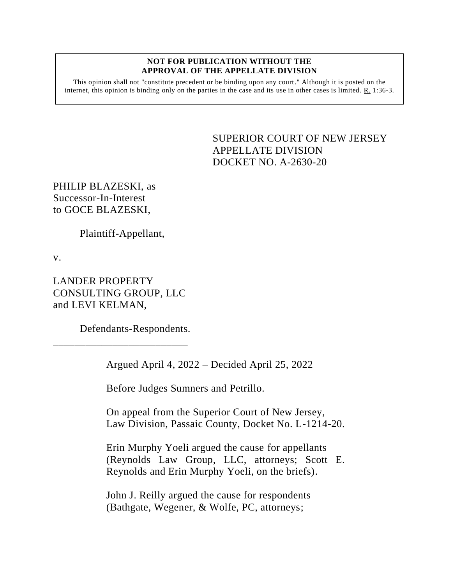## **NOT FOR PUBLICATION WITHOUT THE APPROVAL OF THE APPELLATE DIVISION**

This opinion shall not "constitute precedent or be binding upon any court." Although it is posted on the internet, this opinion is binding only on the parties in the case and its use in other cases is limited.  $R_1$  1:36-3.

> <span id="page-0-0"></span>SUPERIOR COURT OF NEW JERSEY APPELLATE DIVISION DOCKET NO. A-2630-20

PHILIP BLAZESKI, as Successor-In-Interest to GOCE BLAZESKI,

Plaintiff-Appellant,

v.

LANDER PROPERTY CONSULTING GROUP, LLC and LEVI KELMAN,

\_\_\_\_\_\_\_\_\_\_\_\_\_\_\_\_\_\_\_\_\_\_\_\_\_

Defendants-Respondents.

Argued April 4, 2022 – Decided April 25, 2022

Before Judges Sumners and Petrillo.

On appeal from the Superior Court of New Jersey, Law Division, Passaic County, Docket No. L-1214-20.

Erin Murphy Yoeli argued the cause for appellants (Reynolds Law Group, LLC, attorneys; Scott E. Reynolds and Erin Murphy Yoeli, on the briefs).

John J. Reilly argued the cause for respondents (Bathgate, Wegener, & Wolfe, PC, attorneys;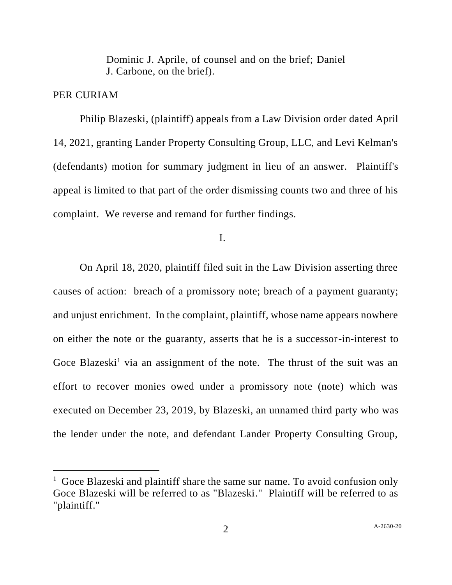Dominic J. Aprile, of counsel and on the brief; Daniel J. Carbone, on the brief).

## PER CURIAM

Philip Blazeski, (plaintiff) appeals from a Law Division order dated April 14, 2021, granting Lander Property Consulting Group, LLC, and Levi Kelman's (defendants) motion for summary judgment in lieu of an answer. Plaintiff's appeal is limited to that part of the order dismissing counts two and three of his complaint. We reverse and remand for further findings.

I.

On April 18, 2020, plaintiff filed suit in the Law Division asserting three causes of action: breach of a promissory note; breach of a payment guaranty; and unjust enrichment. In the complaint, plaintiff, whose name appears nowhere on either the note or the guaranty, asserts that he is a successor-in-interest to Goce Blazeski<sup>1</sup> via an assignment of the note. The thrust of the suit was an effort to recover monies owed under a promissory note (note) which was executed on December 23, 2019, by Blazeski, an unnamed third party who was the lender under the note, and defendant Lander Property Consulting Group,

<sup>&</sup>lt;sup>1</sup> Goce Blazeski and plaintiff share the same sur name. To avoid confusion only Goce Blazeski will be referred to as "Blazeski." Plaintiff will be referred to as "plaintiff."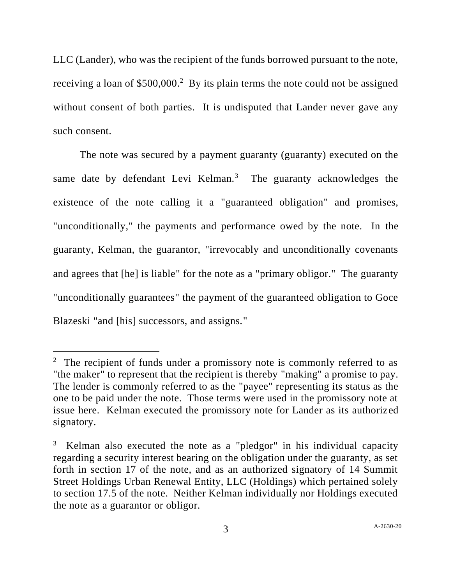LLC (Lander), who was the recipient of the funds borrowed pursuant to the note, receiving a loan of \$500,000.<sup>2</sup> By its plain terms the note could not be assigned without consent of both parties. It is undisputed that Lander never gave any such consent.

The note was secured by a payment guaranty (guaranty) executed on the same date by defendant Levi Kelman.<sup>3</sup> The guaranty acknowledges the existence of the note calling it a "guaranteed obligation" and promises, "unconditionally," the payments and performance owed by the note. In the guaranty, Kelman, the guarantor, "irrevocably and unconditionally covenants and agrees that [he] is liable" for the note as a "primary obligor." The guaranty "unconditionally guarantees" the payment of the guaranteed obligation to Goce Blazeski "and [his] successors, and assigns."

<sup>&</sup>lt;sup>2</sup> The recipient of funds under a promissory note is commonly referred to as "the maker" to represent that the recipient is thereby "making" a promise to pay. The lender is commonly referred to as the "payee" representing its status as the one to be paid under the note. Those terms were used in the promissory note at issue here. Kelman executed the promissory note for Lander as its authorized signatory.

<sup>3</sup> Kelman also executed the note as a "pledgor" in his individual capacity regarding a security interest bearing on the obligation under the guaranty, as set forth in section 17 of the note, and as an authorized signatory of 14 Summit Street Holdings Urban Renewal Entity, LLC (Holdings) which pertained solely to section 17.5 of the note. Neither Kelman individually nor Holdings executed the note as a guarantor or obligor.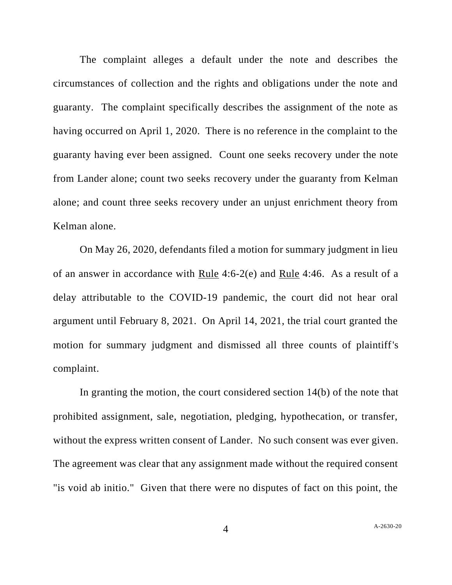The complaint alleges a default under the note and describes the circumstances of collection and the rights and obligations under the note and guaranty. The complaint specifically describes the assignment of the note as having occurred on April 1, 2020. There is no reference in the complaint to the guaranty having ever been assigned. Count one seeks recovery under the note from Lander alone; count two seeks recovery under the guaranty from Kelman alone; and count three seeks recovery under an unjust enrichment theory from Kelman alone.

On May 26, 2020, defendants filed a motion for summary judgment in lieu of an answer in accordance with Rule 4:6-2(e) and Rule 4:46. As a result of a delay attributable to the COVID-19 pandemic, the court did not hear oral argument until February 8, 2021. On April 14, 2021, the trial court granted the motion for summary judgment and dismissed all three counts of plaintiff's complaint.

In granting the motion, the court considered section 14(b) of the note that prohibited assignment, sale, negotiation, pledging, hypothecation, or transfer, without the express written consent of Lander. No such consent was ever given. The agreement was clear that any assignment made without the required consent "is void ab initio." Given that there were no disputes of fact on this point, the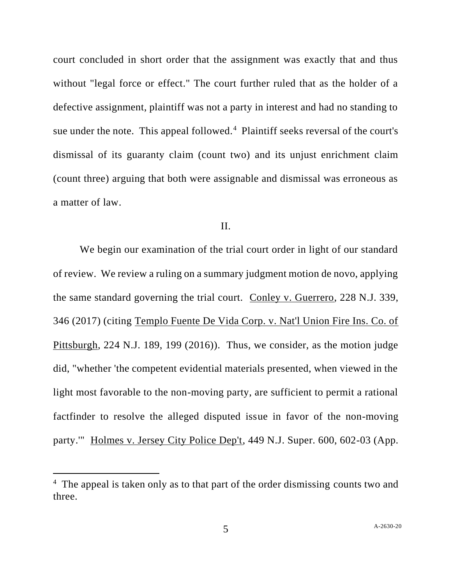court concluded in short order that the assignment was exactly that and thus without "legal force or effect." The court further ruled that as the holder of a defective assignment, plaintiff was not a party in interest and had no standing to sue under the note. This appeal followed.<sup>4</sup> Plaintiff seeks reversal of the court's dismissal of its guaranty claim (count two) and its unjust enrichment claim (count three) arguing that both were assignable and dismissal was erroneous as a matter of law.

## II.

We begin our examination of the trial court order in light of our standard of review. We review a ruling on a summary judgment motion de novo, applying the same standard governing the trial court. Conley v. Guerrero, 228 N.J. 339, 346 (2017) (citing Templo Fuente De Vida Corp. v. Nat'l Union Fire Ins. Co. of Pittsburgh, 224 N.J. 189, 199 (2016)). Thus, we consider, as the motion judge did, "whether 'the competent evidential materials presented, when viewed in the light most favorable to the non-moving party, are sufficient to permit a rational factfinder to resolve the alleged disputed issue in favor of the non-moving party.'" Holmes v. Jersey City Police Dep't, 449 N.J. Super. 600, 602-03 (App.

<sup>&</sup>lt;sup>4</sup> The appeal is taken only as to that part of the order dismissing counts two and three.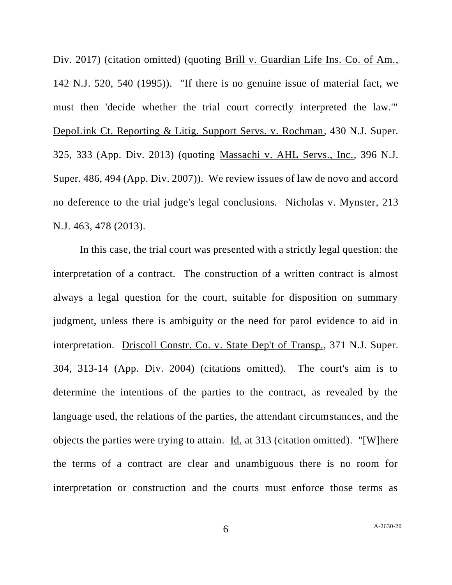Div. 2017) (citation omitted) (quoting Brill v. Guardian Life Ins. Co. of Am., 142 N.J. 520, 540 (1995)). "If there is no genuine issue of material fact, we must then 'decide whether the trial court correctly interpreted the law.'" DepoLink Ct. Reporting & Litig. Support Servs. v. Rochman, 430 N.J. Super. 325, 333 (App. Div. 2013) (quoting Massachi v. AHL Servs., Inc., 396 N.J. Super. 486, 494 (App. Div. 2007)). We review issues of law de novo and accord no deference to the trial judge's legal conclusions. Nicholas v. Mynster, 213 N.J. 463, 478 (2013).

In this case, the trial court was presented with a strictly legal question: the interpretation of a contract. The construction of a written contract is almost always a legal question for the court, suitable for disposition on summary judgment, unless there is ambiguity or the need for parol evidence to aid in interpretation. Driscoll Constr. Co. v. State Dep't of Transp., 371 N.J. Super. 304, 313-14 (App. Div. 2004) (citations omitted). The court's aim is to determine the intentions of the parties to the contract, as revealed by the language used, the relations of the parties, the attendant circumstances, and the objects the parties were trying to attain. Id. at 313 (citation omitted). "[W]here the terms of a contract are clear and unambiguous there is no room for interpretation or construction and the courts must enforce those terms as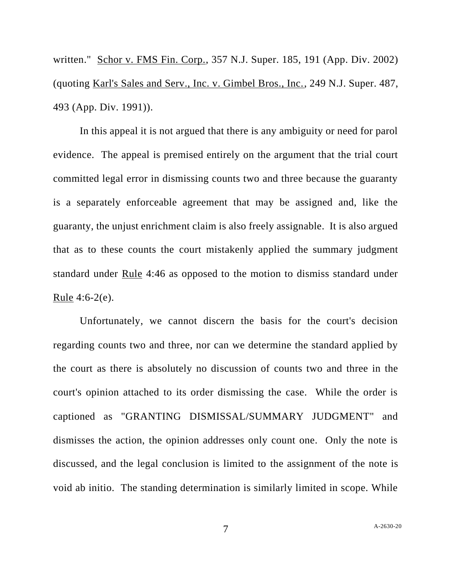written." Schor v. FMS Fin. Corp., 357 N.J. Super. 185, 191 (App. Div. 2002) (quoting Karl's Sales and Serv., Inc. v. Gimbel Bros., Inc., 249 N.J. Super. 487, 493 (App. Div. 1991)).

In this appeal it is not argued that there is any ambiguity or need for parol evidence. The appeal is premised entirely on the argument that the trial court committed legal error in dismissing counts two and three because the guaranty is a separately enforceable agreement that may be assigned and, like the guaranty, the unjust enrichment claim is also freely assignable. It is also argued that as to these counts the court mistakenly applied the summary judgment standard under Rule 4:46 as opposed to the motion to dismiss standard under Rule 4:6-2(e).

Unfortunately, we cannot discern the basis for the court's decision regarding counts two and three, nor can we determine the standard applied by the court as there is absolutely no discussion of counts two and three in the court's opinion attached to its order dismissing the case. While the order is captioned as "GRANTING DISMISSAL/SUMMARY JUDGMENT" and dismisses the action, the opinion addresses only count one. Only the note is discussed, and the legal conclusion is limited to the assignment of the note is void ab initio. The standing determination is similarly limited in scope. While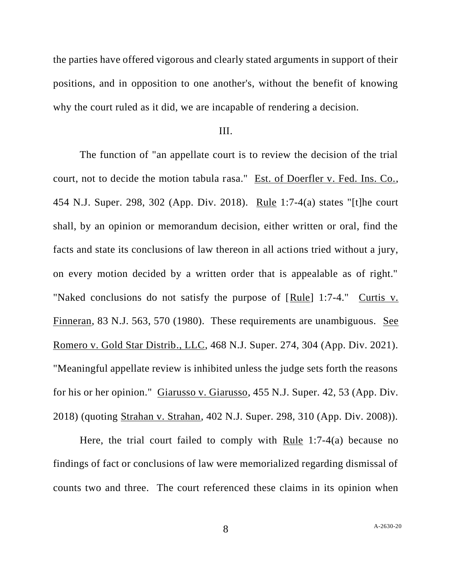the parties have offered vigorous and clearly stated arguments in support of their positions, and in opposition to one another's, without the benefit of knowing why the court ruled as it did, we are incapable of rendering a decision.

## III.

The function of "an appellate court is to review the decision of the trial court, not to decide the motion tabula rasa." Est. of Doerfler v. Fed. Ins. Co., 454 N.J. Super. 298, 302 (App. Div. 2018). Rule 1:7-4(a) states "[t]he court shall, by an opinion or memorandum decision, either written or oral, find the facts and state its conclusions of law thereon in all actions tried without a jury, on every motion decided by a written order that is appealable as of right." "Naked conclusions do not satisfy the purpose of [Rule] 1:7-4." Curtis v. Finneran, 83 N.J. 563, 570 (1980). These requirements are unambiguous. See Romero v. Gold Star Distrib., LLC, 468 N.J. Super. 274, 304 (App. Div. 2021). "Meaningful appellate review is inhibited unless the judge sets forth the reasons for his or her opinion." Giarusso v. Giarusso, 455 N.J. Super. 42, 53 (App. Div. 2018) (quoting Strahan v. Strahan, 402 N.J. Super. 298, 310 (App. Div. 2008)).

Here, the trial court failed to comply with Rule 1:7-4(a) because no findings of fact or conclusions of law were memorialized regarding dismissal of counts two and three. The court referenced these claims in its opinion when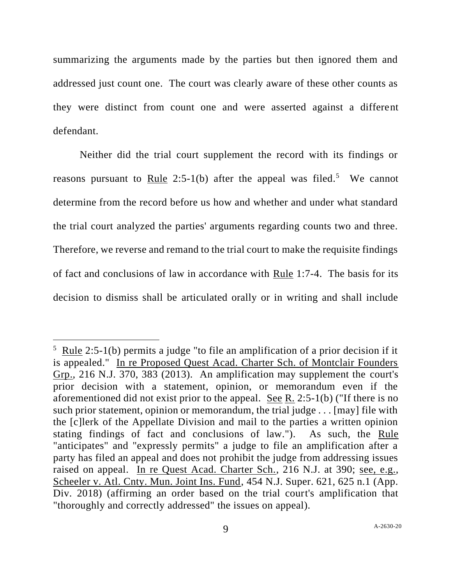summarizing the arguments made by the parties but then ignored them and addressed just count one. The court was clearly aware of these other counts as they were distinct from count one and were asserted against a different defendant.

Neither did the trial court supplement the record with its findings or reasons pursuant to Rule 2:5-1(b) after the appeal was filed.<sup>5</sup> We cannot determine from the record before us how and whether and under what standard the trial court analyzed the parties' arguments regarding counts two and three. Therefore, we reverse and remand to the trial court to make the requisite findings of fact and conclusions of law in accordance with Rule 1:7-4. The basis for its decision to dismiss shall be articulated orally or in writing and shall include

 $5 \text{ Rule } 2:5-1(b)$  permits a judge "to file an amplification of a prior decision if it is appealed." In re Proposed Quest Acad. Charter Sch. of Montclair Founders Grp., 216 N.J. 370, 383 (2013). An amplification may supplement the court's prior decision with a statement, opinion, or memorandum even if the aforementioned did not exist prior to the appeal. See R. 2:5-1(b) ("If there is no such prior statement, opinion or memorandum, the trial judge . . . [may] file with the [c]lerk of the Appellate Division and mail to the parties a written opinion stating findings of fact and conclusions of law."). As such, the Rule "anticipates" and "expressly permits" a judge to file an amplification after a party has filed an appeal and does not prohibit the judge from addressing issues raised on appeal. In re Quest Acad. Charter Sch., 216 N.J. at 390; see, e.g., Scheeler v. Atl. Cnty. Mun. Joint Ins. Fund, 454 N.J. Super. 621, 625 n.1 (App. Div. 2018) (affirming an order based on the trial court's amplification that "thoroughly and correctly addressed" the issues on appeal).